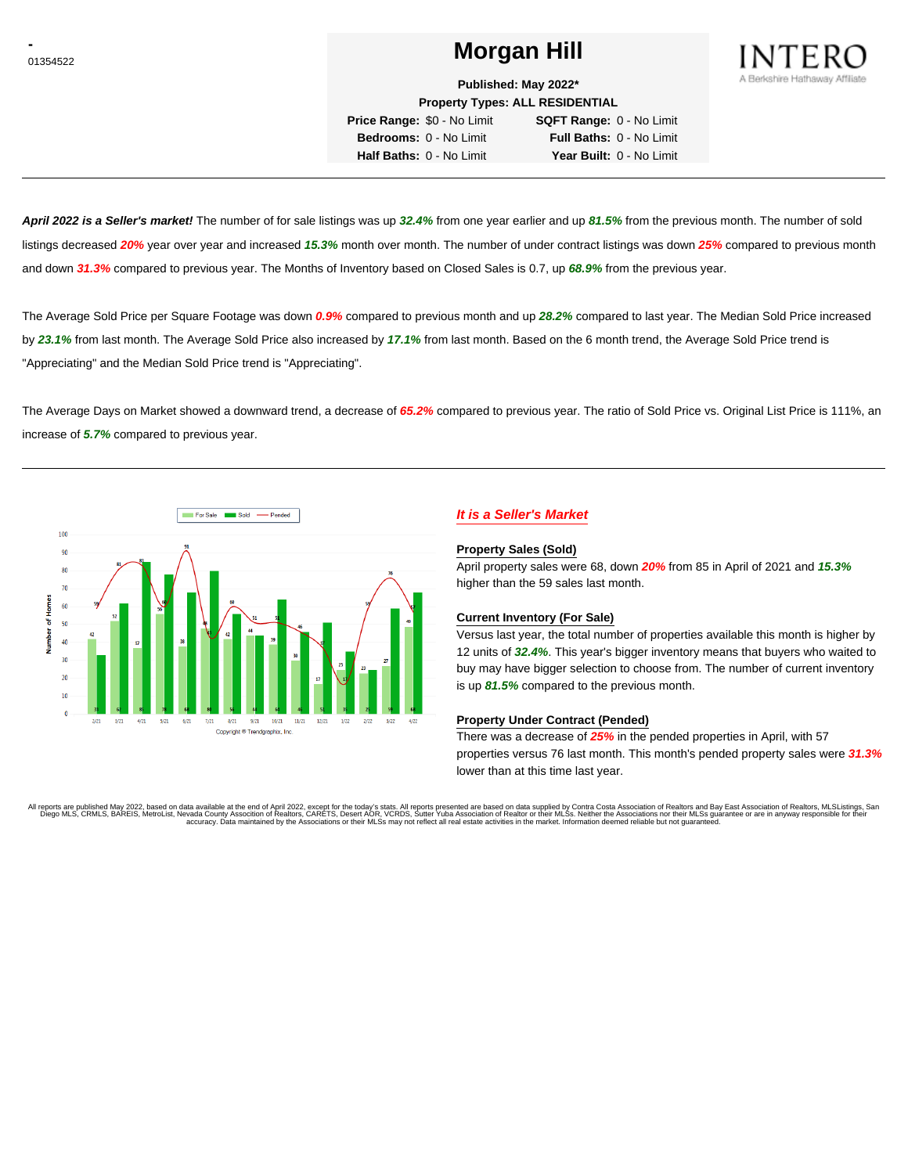# <sup>01354522</sup> **Morgan Hill**



**Published: May 2022\***

**Property Types: ALL RESIDENTIAL**

**Price Range:** \$0 - No Limit **SQFT Range:** 0 - No Limit **Bedrooms:** 0 - No Limit **Full Baths:** 0 - No Limit **Half Baths:** 0 - No Limit **Year Built:** 0 - No Limit

**April 2022 is a Seller's market!** The number of for sale listings was up **32.4%** from one year earlier and up **81.5%** from the previous month. The number of sold listings decreased **20%** year over year and increased **15.3%** month over month. The number of under contract listings was down **25%** compared to previous month and down **31.3%** compared to previous year. The Months of Inventory based on Closed Sales is 0.7, up **68.9%** from the previous year.

The Average Sold Price per Square Footage was down **0.9%** compared to previous month and up **28.2%** compared to last year. The Median Sold Price increased by **23.1%** from last month. The Average Sold Price also increased by **17.1%** from last month. Based on the 6 month trend, the Average Sold Price trend is "Appreciating" and the Median Sold Price trend is "Appreciating".

The Average Days on Market showed a downward trend, a decrease of **65.2%** compared to previous year. The ratio of Sold Price vs. Original List Price is 111%, an increase of **5.7%** compared to previous year.



# **It is a Seller's Market**

#### **Property Sales (Sold)**

April property sales were 68, down **20%** from 85 in April of 2021 and **15.3%** higher than the 59 sales last month.

#### **Current Inventory (For Sale)**

Versus last year, the total number of properties available this month is higher by 12 units of **32.4%**. This year's bigger inventory means that buyers who waited to buy may have bigger selection to choose from. The number of current inventory is up **81.5%** compared to the previous month.

#### **Property Under Contract (Pended)**

There was a decrease of **25%** in the pended properties in April, with 57 properties versus 76 last month. This month's pended property sales were **31.3%** lower than at this time last year.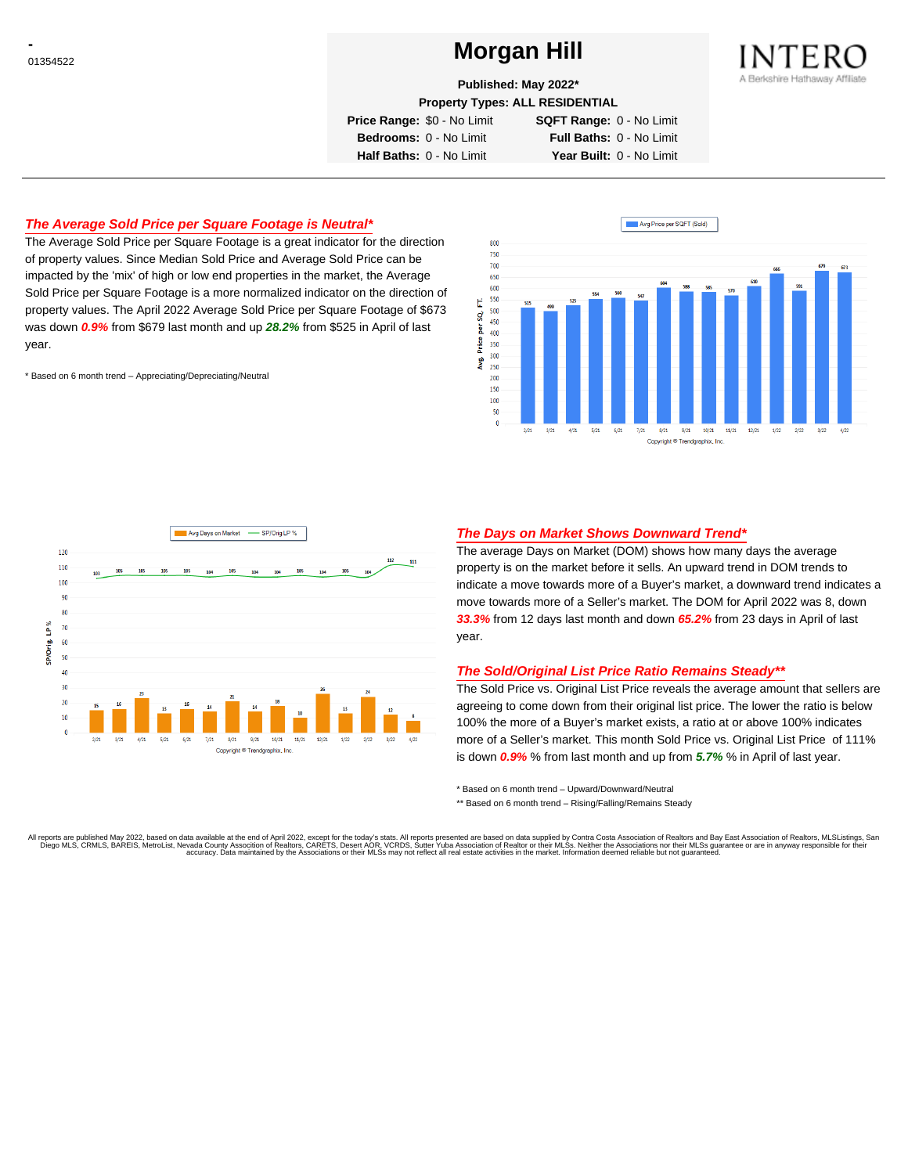# <sup>01354522</sup> **Morgan Hill**



**Published: May 2022\***

**Property Types: ALL RESIDENTIAL**

**Price Range:** \$0 - No Limit **SQFT Range:** 0 - No Limit

**Bedrooms:** 0 - No Limit **Full Baths:** 0 - No Limit **Half Baths:** 0 - No Limit **Year Built:** 0 - No Limit

## **The Average Sold Price per Square Footage is Neutral\***

The Average Sold Price per Square Footage is a great indicator for the direction of property values. Since Median Sold Price and Average Sold Price can be impacted by the 'mix' of high or low end properties in the market, the Average Sold Price per Square Footage is a more normalized indicator on the direction of property values. The April 2022 Average Sold Price per Square Footage of \$673 was down **0.9%** from \$679 last month and up **28.2%** from \$525 in April of last year.

\* Based on 6 month trend – Appreciating/Depreciating/Neutral





## **The Days on Market Shows Downward Trend\***

The average Days on Market (DOM) shows how many days the average property is on the market before it sells. An upward trend in DOM trends to indicate a move towards more of a Buyer's market, a downward trend indicates a move towards more of a Seller's market. The DOM for April 2022 was 8, down **33.3%** from 12 days last month and down **65.2%** from 23 days in April of last year.

#### **The Sold/Original List Price Ratio Remains Steady\*\***

The Sold Price vs. Original List Price reveals the average amount that sellers are agreeing to come down from their original list price. The lower the ratio is below 100% the more of a Buyer's market exists, a ratio at or above 100% indicates more of a Seller's market. This month Sold Price vs. Original List Price of 111% is down **0.9%** % from last month and up from **5.7%** % in April of last year.

\* Based on 6 month trend – Upward/Downward/Neutral

\*\* Based on 6 month trend - Rising/Falling/Remains Steady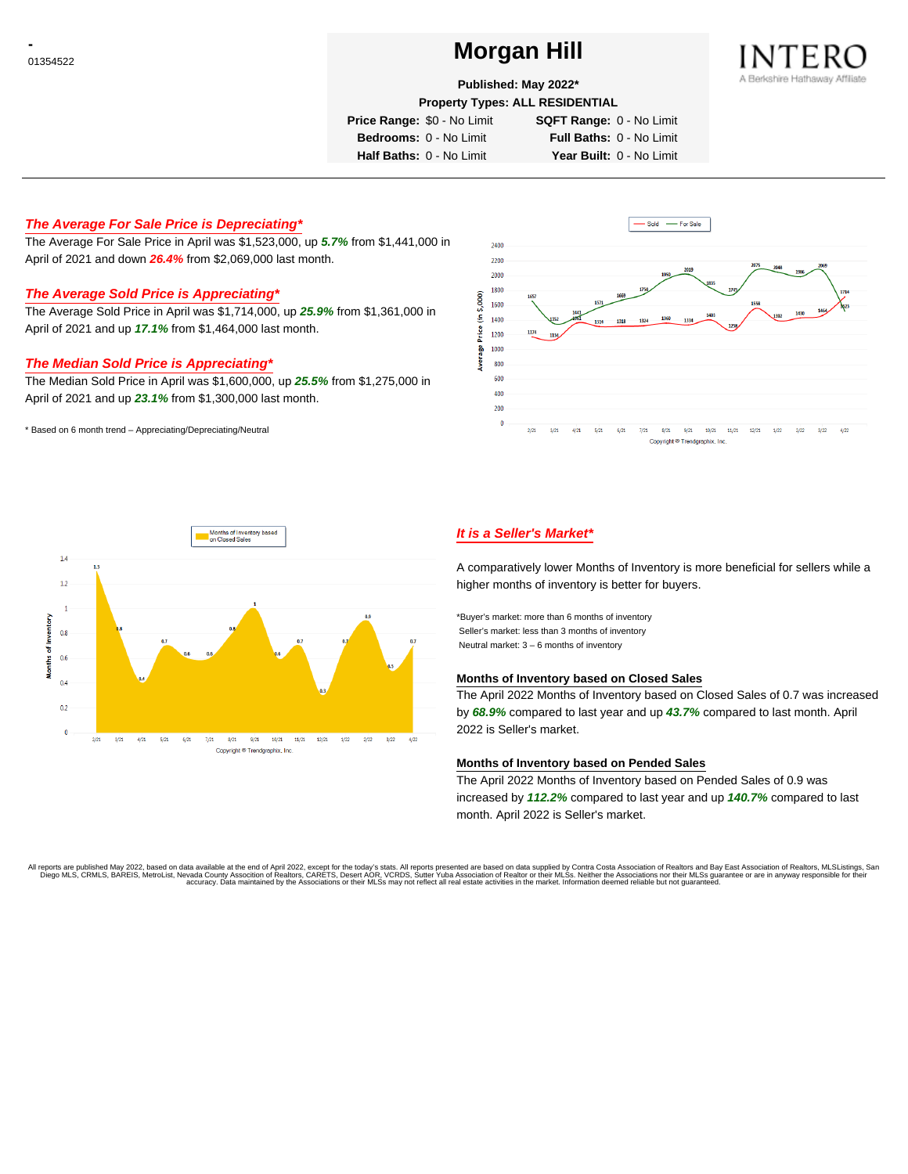# <sup>01354522</sup> **Morgan Hill**



## **Published: May 2022\***

**Property Types: ALL RESIDENTIAL**

**Price Range:** \$0 - No Limit **SQFT Range:** 0 - No Limit

**Bedrooms:** 0 - No Limit **Full Baths:** 0 - No Limit **Half Baths:** 0 - No Limit **Year Built:** 0 - No Limit

## **The Average For Sale Price is Depreciating\***

The Average For Sale Price in April was \$1,523,000, up **5.7%** from \$1,441,000 in April of 2021 and down **26.4%** from \$2,069,000 last month.

# **The Average Sold Price is Appreciating\***

The Average Sold Price in April was \$1,714,000, up **25.9%** from \$1,361,000 in April of 2021 and up **17.1%** from \$1,464,000 last month.

## **The Median Sold Price is Appreciating\***

The Median Sold Price in April was \$1,600,000, up **25.5%** from \$1,275,000 in April of 2021 and up **23.1%** from \$1,300,000 last month.

\* Based on 6 month trend – Appreciating/Depreciating/Neutral





# **It is a Seller's Market\***

A comparatively lower Months of Inventory is more beneficial for sellers while a higher months of inventory is better for buyers.

\*Buyer's market: more than 6 months of inventory Seller's market: less than 3 months of inventory Neutral market: 3 – 6 months of inventory

#### **Months of Inventory based on Closed Sales**

The April 2022 Months of Inventory based on Closed Sales of 0.7 was increased by **68.9%** compared to last year and up **43.7%** compared to last month. April 2022 is Seller's market.

#### **Months of Inventory based on Pended Sales**

The April 2022 Months of Inventory based on Pended Sales of 0.9 was increased by **112.2%** compared to last year and up **140.7%** compared to last month. April 2022 is Seller's market.